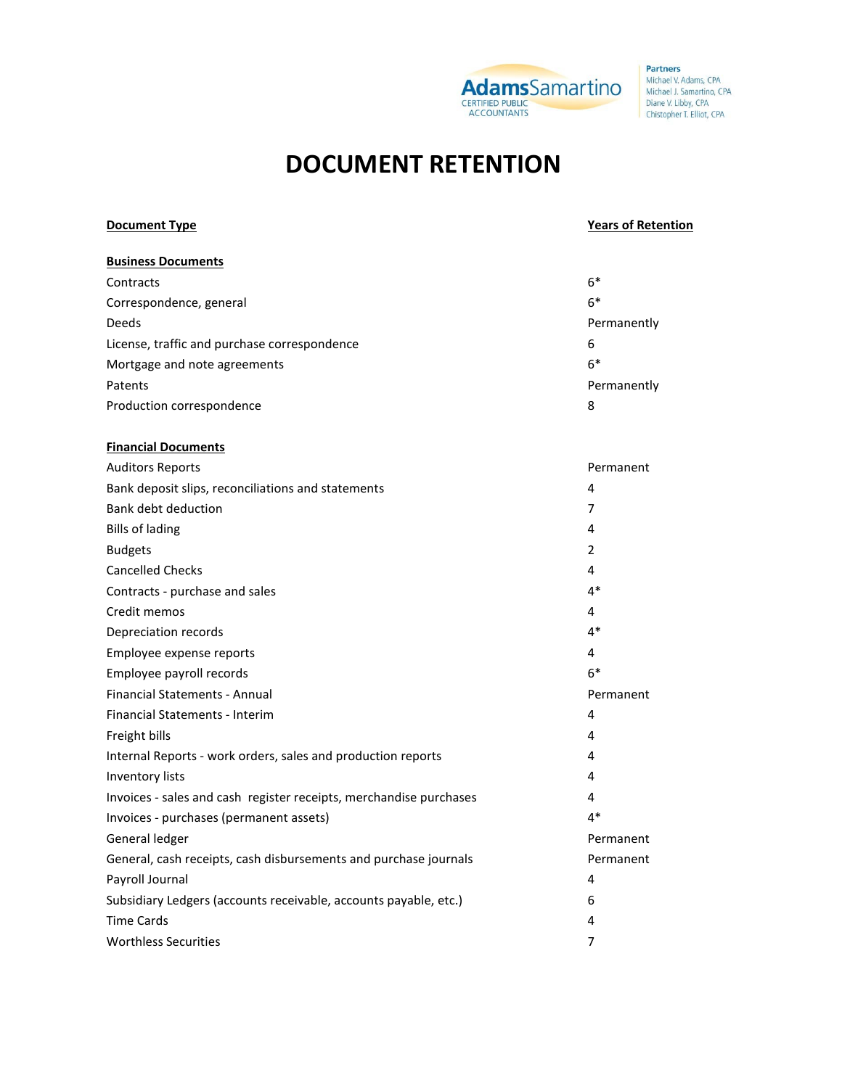

**Partners** Michael V. Adams, CPA<br>Michael J. Samartino, CPA Diane V. Libby, CPA<br>Chistopher T. Elliot, CPA

# **DOCUMENT RETENTION**

| <b>Document Type</b>                                               | <b>Years of Retention</b> |
|--------------------------------------------------------------------|---------------------------|
| <b>Business Documents</b>                                          |                           |
| Contracts                                                          | $6*$                      |
| Correspondence, general                                            | $6*$                      |
| Deeds                                                              | Permanently               |
| License, traffic and purchase correspondence                       | 6                         |
| Mortgage and note agreements                                       | $6*$                      |
| Patents                                                            | Permanently               |
| Production correspondence                                          | 8                         |
| <b>Financial Documents</b>                                         |                           |
| <b>Auditors Reports</b>                                            | Permanent                 |
| Bank deposit slips, reconciliations and statements                 | 4                         |
| <b>Bank debt deduction</b>                                         | 7                         |
| <b>Bills of lading</b>                                             | 4                         |
| <b>Budgets</b>                                                     | 2                         |
| <b>Cancelled Checks</b>                                            | 4                         |
| Contracts - purchase and sales                                     | $4*$                      |
| Credit memos                                                       | 4                         |
| Depreciation records                                               | $4*$                      |
| Employee expense reports                                           | 4                         |
| Employee payroll records                                           | $6*$                      |
| <b>Financial Statements - Annual</b>                               | Permanent                 |
| Financial Statements - Interim                                     | 4                         |
| Freight bills                                                      | 4                         |
| Internal Reports - work orders, sales and production reports       | 4                         |
| Inventory lists                                                    | 4                         |
| Invoices - sales and cash register receipts, merchandise purchases | 4                         |
| Invoices - purchases (permanent assets)                            | $4*$                      |
| General ledger                                                     | Permanent                 |
| General, cash receipts, cash disbursements and purchase journals   | Permanent                 |
| Payroll Journal                                                    | 4                         |
| Subsidiary Ledgers (accounts receivable, accounts payable, etc.)   | 6                         |
| <b>Time Cards</b>                                                  | 4                         |
| <b>Worthless Securities</b>                                        | $\overline{7}$            |